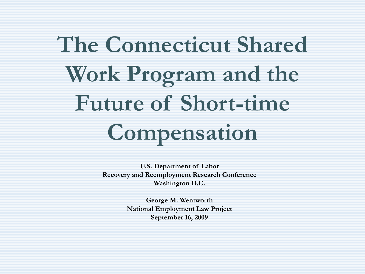# **The Connecticut Shared Work Program and the Future of Short-time Compensation**

**U.S. Department of Labor Recovery and Reemployment Research Conference Washington D.C.**

> **George M. Wentworth National Employment Law Project September 16, 2009**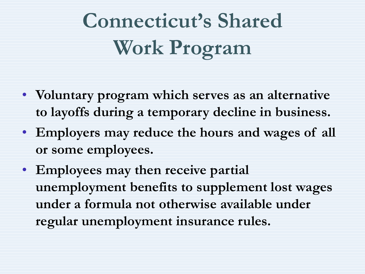# **Connecticut's Shared Work Program**

- **Voluntary program which serves as an alternative to layoffs during a temporary decline in business.**
- **Employers may reduce the hours and wages of all or some employees.**
- **Employees may then receive partial unemployment benefits to supplement lost wages under a formula not otherwise available under regular unemployment insurance rules.**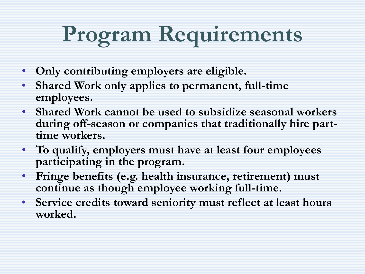# **Program Requirements**

- **Only contributing employers are eligible.**
- **Shared Work only applies to permanent, full-time employees.**
- **Shared Work cannot be used to subsidize seasonal workers during off-season or companies that traditionally hire parttime workers.**
- **To qualify, employers must have at least four employees participating in the program.**
- **Fringe benefits (e.g. health insurance, retirement) must continue as though employee working full-time.**
- **Service credits toward seniority must reflect at least hours worked.**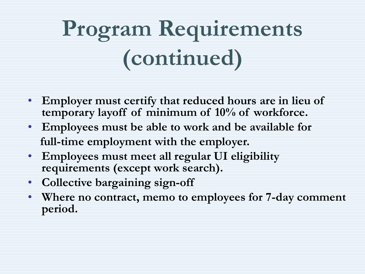# **Program Requirements (continued)**

- **Employer must certify that reduced hours are in lieu of temporary layoff of minimum of 10% of workforce.**
- **Employees must be able to work and be available for full-time employment with the employer.**
- **Employees must meet all regular UI eligibility requirements (except work search).**
- **Collective bargaining sign-off**
- **Where no contract, memo to employees for 7-day comment period.**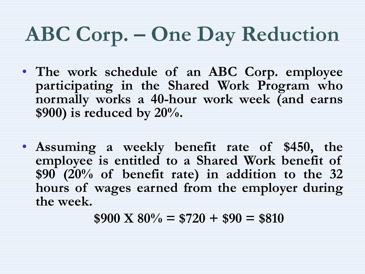### **ABC Corp. – One Day Reduction**

- **The work schedule of an ABC Corp. employee participating in the Shared Work Program who normally works a 40-hour work week (and earns \$900) is reduced by 20%.**
- **Assuming a weekly benefit rate of \$450, the employee is entitled to a Shared Work benefit of \$90 (20% of benefit rate) in addition to the 32 hours of wages earned from the employer during the week.**

 $$900 \text{ X } 80\% = $720 + $90 = $810$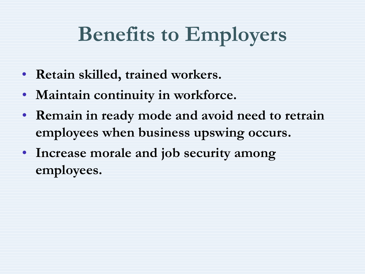#### **Benefits to Employers**

- **Retain skilled, trained workers.**
- **Maintain continuity in workforce.**
- **Remain in ready mode and avoid need to retrain employees when business upswing occurs.**
- **Increase morale and job security among employees.**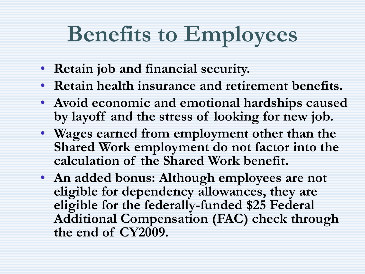## **Benefits to Employees**

- **Retain job and financial security.**
- **Retain health insurance and retirement benefits.**
- **Avoid economic and emotional hardships caused by layoff and the stress of looking for new job.**
- **Wages earned from employment other than the Shared Work employment do not factor into the calculation of the Shared Work benefit.**
- **An added bonus: Although employees are not eligible for dependency allowances, they are eligible for the federally-funded \$25 Federal Additional Compensation (FAC) check through the end of CY2009.**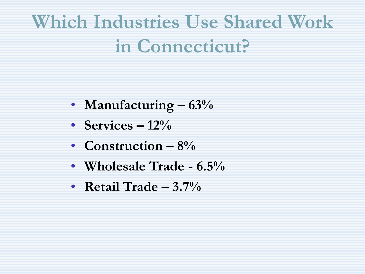#### **Which Industries Use Shared Work in Connecticut?**

- **Manufacturing – 63%**
- **Services**  $-12\%$
- **Construction – 8%**
- **Wholesale Trade - 6.5%**
- **Retail Trade – 3.7%**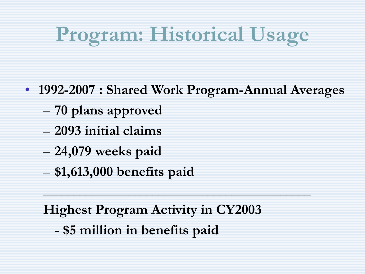# **Program: Historical Usage**

- **1992-2007 : Shared Work Program-Annual Averages**
	- **70 plans approved**
	- **2093 initial claims**
	- **24,079 weeks paid**
	- **\$1,613,000 benefits paid**

**Highest Program Activity in CY2003** 

 $\mathcal{L}_\text{max}$  and  $\mathcal{L}_\text{max}$  and  $\mathcal{L}_\text{max}$  and  $\mathcal{L}_\text{max}$  and  $\mathcal{L}_\text{max}$  and  $\mathcal{L}_\text{max}$ 

**- \$5 million in benefits paid**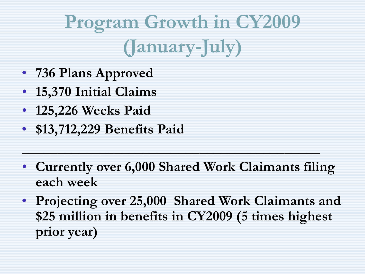## **Program Growth in CY2009 (January-July)**

- **736 Plans Approved**
- **15,370 Initial Claims**
- **125,226 Weeks Paid**
- **\$13,712,229 Benefits Paid**
- **Currently over 6,000 Shared Work Claimants filing each week**

**\_\_\_\_\_\_\_\_\_\_\_\_\_\_\_\_\_\_\_\_\_\_\_\_\_\_\_\_\_\_\_\_\_\_\_\_\_\_\_\_\_\_**

• **Projecting over 25,000 Shared Work Claimants and \$25 million in benefits in CY2009 (5 times highest prior year)**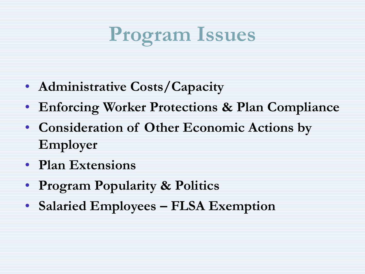#### **Program Issues**

- **Administrative Costs/Capacity**
- **Enforcing Worker Protections & Plan Compliance**
- **Consideration of Other Economic Actions by Employer**
- **Plan Extensions**
- **Program Popularity & Politics**
- **Salaried Employees – FLSA Exemption**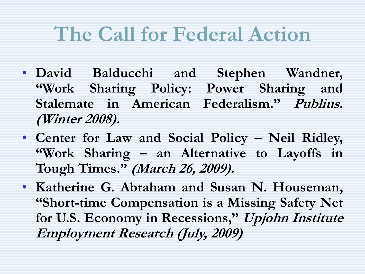#### **The Call for Federal Action**

- **David Balducchi and Stephen Wandner, "Work Sharing Policy: Power Sharing and Stalemate in American Federalism." Publius. (Winter 2008).**
- **Center for Law and Social Policy – Neil Ridley, "Work Sharing – an Alternative to Layoffs in Tough Times." (March 26, 2009).**
- **Katherine G. Abraham and Susan N. Houseman, "Short-time Compensation is a Missing Safety Net for U.S. Economy in Recessions," Upjohn Institute Employment Research (July, 2009)**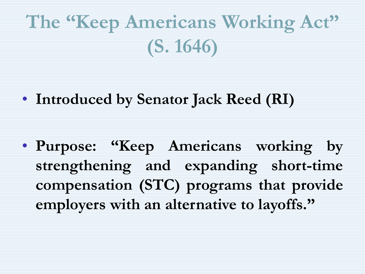### **The "Keep Americans Working Act" (S. 1646)**

• **Introduced by Senator Jack Reed (RI)**

• **Purpose: "Keep Americans working by strengthening and expanding short-time compensation (STC) programs that provide employers with an alternative to layoffs."**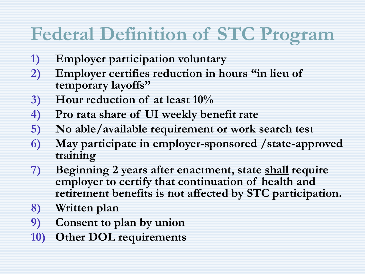#### **Federal Definition of STC Program**

- **1) Employer participation voluntary**
- **2) Employer certifies reduction in hours "in lieu of temporary layoffs"**
- **3) Hour reduction of at least 10%**
- **4) Pro rata share of UI weekly benefit rate**
- **5) No able/available requirement or work search test**
- **6) May participate in employer-sponsored /state-approved training**
- **7) Beginning 2 years after enactment, state shall require employer to certify that continuation of health and retirement benefits is not affected by STC participation.**
- **8) Written plan**
- **9) Consent to plan by union**
- **10) Other DOL requirements**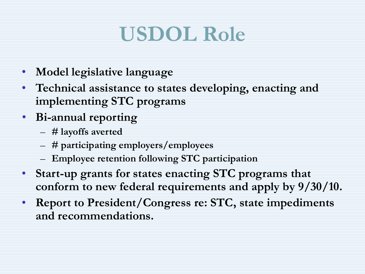#### **USDOL Role**

- **Model legislative language**
- **Technical assistance to states developing, enacting and implementing STC programs**
- **Bi-annual reporting**
	- **# layoffs averted**
	- **# participating employers/employees**
	- **Employee retention following STC participation**
- **Start-up grants for states enacting STC programs that conform to new federal requirements and apply by 9/30/10.**
- **Report to President/Congress re: STC, state impediments and recommendations.**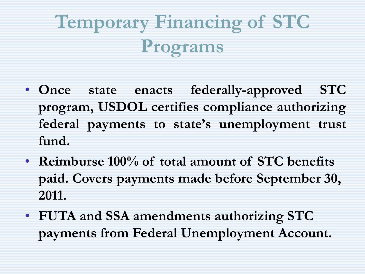## **Temporary Financing of STC Programs**

- **Once state enacts federally-approved STC program, USDOL certifies compliance authorizing federal payments to state's unemployment trust fund.**
- **Reimburse 100% of total amount of STC benefits paid. Covers payments made before September 30, 2011.**
- **FUTA and SSA amendments authorizing STC payments from Federal Unemployment Account.**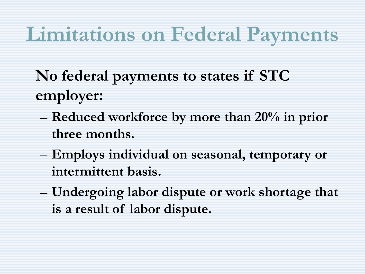#### **Limitations on Federal Payments**

**No federal payments to states if STC employer:**

- **Reduced workforce by more than 20% in prior three months.**
- **Employs individual on seasonal, temporary or intermittent basis.**
- **Undergoing labor dispute or work shortage that is a result of labor dispute.**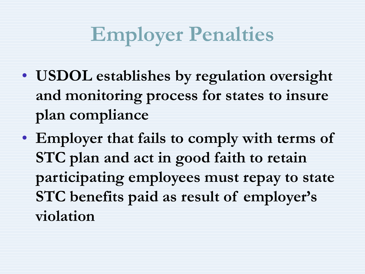#### **Employer Penalties**

- **USDOL establishes by regulation oversight and monitoring process for states to insure plan compliance**
- **Employer that fails to comply with terms of STC plan and act in good faith to retain participating employees must repay to state STC benefits paid as result of employer's violation**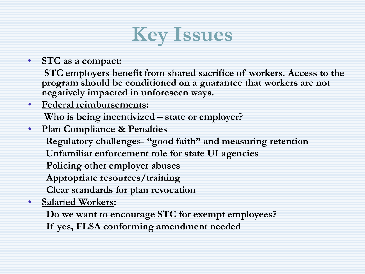

#### • **STC as a compact:**

**STC employers benefit from shared sacrifice of workers. Access to the program should be conditioned on a guarantee that workers are not negatively impacted in unforeseen ways.**

- **Federal reimbursements: Who is being incentivized – state or employer?**
- **Plan Compliance & Penalties**

**Regulatory challenges- "good faith" and measuring retention**

**Unfamiliar enforcement role for state UI agencies**

**Policing other employer abuses**

**Appropriate resources/training**

**Clear standards for plan revocation**

• **Salaried Workers:**

**Do we want to encourage STC for exempt employees?**

**If yes, FLSA conforming amendment needed**